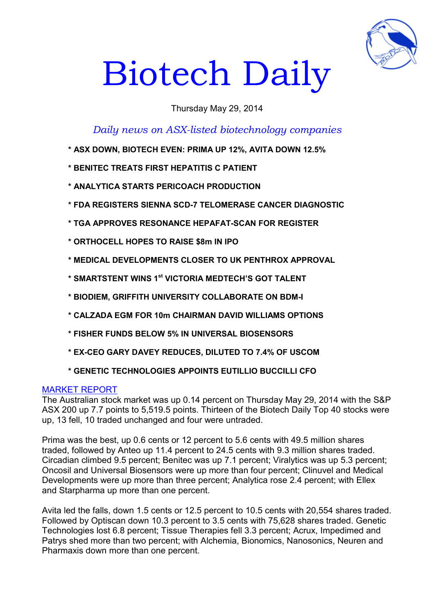

# Biotech Daily

# Thursday May 29, 2014

*Daily news on ASX-listed biotechnology companies*

- **\* ASX DOWN, BIOTECH EVEN: PRIMA UP 12%, AVITA DOWN 12.5%**
- **\* BENITEC TREATS FIRST HEPATITIS C PATIENT**
- **\* ANALYTICA STARTS PERICOACH PRODUCTION**
- **\* FDA REGISTERS SIENNA SCD-7 TELOMERASE CANCER DIAGNOSTIC**
- **\* TGA APPROVES RESONANCE HEPAFAT-SCAN FOR REGISTER**
- **\* ORTHOCELL HOPES TO RAISE \$8m IN IPO**
- **\* MEDICAL DEVELOPMENTS CLOSER TO UK PENTHROX APPROVAL**
- **\* SMARTSTENT WINS 1st VICTORIA MEDTECH'S GOT TALENT**
- **\* BIODIEM, GRIFFITH UNIVERSITY COLLABORATE ON BDM-I**
- **\* CALZADA EGM FOR 10m CHAIRMAN DAVID WILLIAMS OPTIONS**
- **\* FISHER FUNDS BELOW 5% IN UNIVERSAL BIOSENSORS**
- **\* EX-CEO GARY DAVEY REDUCES, DILUTED TO 7.4% OF USCOM**
- **\* GENETIC TECHNOLOGIES APPOINTS EUTILLIO BUCCILLI CFO**

## MARKET REPORT

The Australian stock market was up 0.14 percent on Thursday May 29, 2014 with the S&P ASX 200 up 7.7 points to 5,519.5 points. Thirteen of the Biotech Daily Top 40 stocks were up, 13 fell, 10 traded unchanged and four were untraded.

Prima was the best, up 0.6 cents or 12 percent to 5.6 cents with 49.5 million shares traded, followed by Anteo up 11.4 percent to 24.5 cents with 9.3 million shares traded. Circadian climbed 9.5 percent; Benitec was up 7.1 percent; Viralytics was up 5.3 percent; Oncosil and Universal Biosensors were up more than four percent; Clinuvel and Medical Developments were up more than three percent; Analytica rose 2.4 percent; with Ellex and Starpharma up more than one percent.

Avita led the falls, down 1.5 cents or 12.5 percent to 10.5 cents with 20,554 shares traded. Followed by Optiscan down 10.3 percent to 3.5 cents with 75,628 shares traded. Genetic Technologies lost 6.8 percent; Tissue Therapies fell 3.3 percent; Acrux, Impedimed and Patrys shed more than two percent; with Alchemia, Bionomics, Nanosonics, Neuren and Pharmaxis down more than one percent.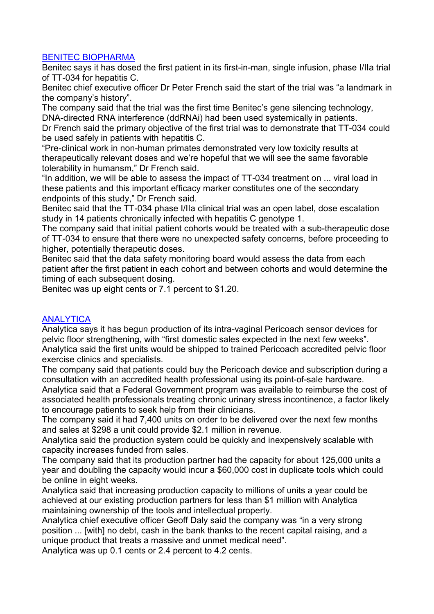## BENITEC BIOPHARMA

Benitec says it has dosed the first patient in its first-in-man, single infusion, phase I/IIa trial of TT-034 for hepatitis C.

Benitec chief executive officer Dr Peter French said the start of the trial was "a landmark in the company's history".

The company said that the trial was the first time Benitec's gene silencing technology, DNA-directed RNA interference (ddRNAi) had been used systemically in patients.

Dr French said the primary objective of the first trial was to demonstrate that TT-034 could be used safely in patients with hepatitis C.

"Pre-clinical work in non-human primates demonstrated very low toxicity results at therapeutically relevant doses and we're hopeful that we will see the same favorable tolerability in humansm," Dr French said.

"In addition, we will be able to assess the impact of TT-034 treatment on ... viral load in these patients and this important efficacy marker constitutes one of the secondary endpoints of this study," Dr French said.

Benitec said that the TT-034 phase I/IIa clinical trial was an open label, dose escalation study in 14 patients chronically infected with hepatitis C genotype 1.

The company said that initial patient cohorts would be treated with a sub-therapeutic dose of TT-034 to ensure that there were no unexpected safety concerns, before proceeding to higher, potentially therapeutic doses.

Benitec said that the data safety monitoring board would assess the data from each patient after the first patient in each cohort and between cohorts and would determine the timing of each subsequent dosing.

Benitec was up eight cents or 7.1 percent to \$1.20.

#### **ANALYTICA**

Analytica says it has begun production of its intra-vaginal Pericoach sensor devices for pelvic floor strengthening, with "first domestic sales expected in the next few weeks". Analytica said the first units would be shipped to trained Pericoach accredited pelvic floor exercise clinics and specialists.

The company said that patients could buy the Pericoach device and subscription during a consultation with an accredited health professional using its point-of-sale hardware.

Analytica said that a Federal Government program was available to reimburse the cost of associated health professionals treating chronic urinary stress incontinence, a factor likely to encourage patients to seek help from their clinicians.

The company said it had 7,400 units on order to be delivered over the next few months and sales at \$298 a unit could provide \$2.1 million in revenue.

Analytica said the production system could be quickly and inexpensively scalable with capacity increases funded from sales.

The company said that its production partner had the capacity for about 125,000 units a year and doubling the capacity would incur a \$60,000 cost in duplicate tools which could be online in eight weeks.

Analytica said that increasing production capacity to millions of units a year could be achieved at our existing production partners for less than \$1 million with Analytica maintaining ownership of the tools and intellectual property.

Analytica chief executive officer Geoff Daly said the company was "in a very strong position ... [with] no debt, cash in the bank thanks to the recent capital raising, and a unique product that treats a massive and unmet medical need".

Analytica was up 0.1 cents or 2.4 percent to 4.2 cents.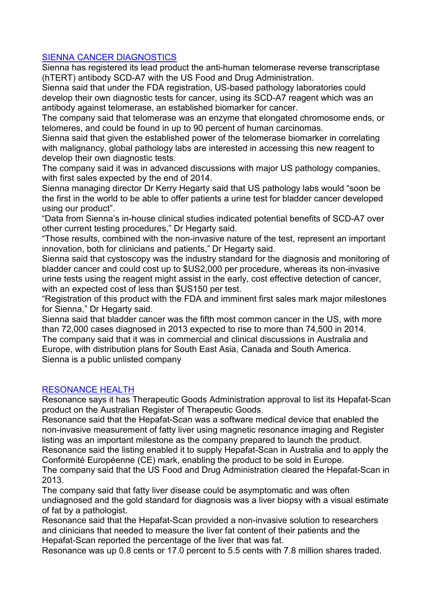#### SIENNA CANCER DIAGNOSTICS

Sienna has registered its lead product the anti-human telomerase reverse transcriptase (hTERT) antibody SCD-A7 with the US Food and Drug Administration.

Sienna said that under the FDA registration, US-based pathology laboratories could develop their own diagnostic tests for cancer, using its SCD-A7 reagent which was an antibody against telomerase, an established biomarker for cancer.

The company said that telomerase was an enzyme that elongated chromosome ends, or telomeres, and could be found in up to 90 percent of human carcinomas.

Sienna said that given the established power of the telomerase biomarker in correlating with malignancy, global pathology labs are interested in accessing this new reagent to develop their own diagnostic tests.

The company said it was in advanced discussions with major US pathology companies, with first sales expected by the end of 2014.

Sienna managing director Dr Kerry Hegarty said that US pathology labs would "soon be the first in the world to be able to offer patients a urine test for bladder cancer developed using our product".

"Data from Sienna's in-house clinical studies indicated potential benefits of SCD-A7 over other current testing procedures," Dr Hegarty said.

"Those results, combined with the non-invasive nature of the test, represent an important innovation, both for clinicians and patients," Dr Hegarty said.

Sienna said that cystoscopy was the industry standard for the diagnosis and monitoring of bladder cancer and could cost up to \$US2,000 per procedure, whereas its non-invasive urine tests using the reagent might assist in the early, cost effective detection of cancer, with an expected cost of less than \$US150 per test.

"Registration of this product with the FDA and imminent first sales mark major milestones for Sienna," Dr Hegarty said.

Sienna said that bladder cancer was the fifth most common cancer in the US, with more than 72,000 cases diagnosed in 2013 expected to rise to more than 74,500 in 2014. The company said that it was in commercial and clinical discussions in Australia and Europe, with distribution plans for South East Asia, Canada and South America. Sienna is a public unlisted company

#### RESONANCE HEALTH

Resonance says it has Therapeutic Goods Administration approval to list its Hepafat-Scan product on the Australian Register of Therapeutic Goods.

Resonance said that the Hepafat-Scan was a software medical device that enabled the non-invasive measurement of fatty liver using magnetic resonance imaging and Register listing was an important milestone as the company prepared to launch the product.

Resonance said the listing enabled it to supply Hepafat-Scan in Australia and to apply the Conformité Européenne (CE) mark, enabling the product to be sold in Europe.

The company said that the US Food and Drug Administration cleared the Hepafat-Scan in 2013.

The company said that fatty liver disease could be asymptomatic and was often undiagnosed and the gold standard for diagnosis was a liver biopsy with a visual estimate of fat by a pathologist.

Resonance said that the Hepafat-Scan provided a non-invasive solution to researchers and clinicians that needed to measure the liver fat content of their patients and the Hepafat-Scan reported the percentage of the liver that was fat.

Resonance was up 0.8 cents or 17.0 percent to 5.5 cents with 7.8 million shares traded.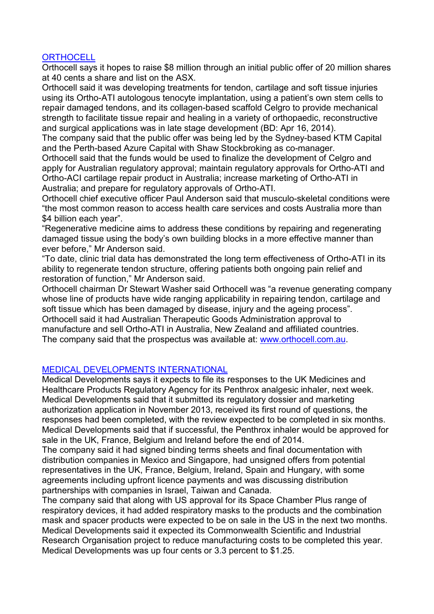#### **ORTHOCELL**

Orthocell says it hopes to raise \$8 million through an initial public offer of 20 million shares at 40 cents a share and list on the ASX.

Orthocell said it was developing treatments for tendon, cartilage and soft tissue injuries using its Ortho-ATI autologous tenocyte implantation, using a patient's own stem cells to repair damaged tendons, and its collagen-based scaffold Celgro to provide mechanical strength to facilitate tissue repair and healing in a variety of orthopaedic, reconstructive and surgical applications was in late stage development (BD: Apr 16, 2014).

The company said that the public offer was being led by the Sydney-based KTM Capital and the Perth-based Azure Capital with Shaw Stockbroking as co-manager.

Orthocell said that the funds would be used to finalize the development of Celgro and apply for Australian regulatory approval; maintain regulatory approvals for Ortho-ATI and Ortho-ACI cartilage repair product in Australia; increase marketing of Ortho-ATI in Australia; and prepare for regulatory approvals of Ortho-ATI.

Orthocell chief executive officer Paul Anderson said that musculo-skeletal conditions were "the most common reason to access health care services and costs Australia more than \$4 billion each year".

"Regenerative medicine aims to address these conditions by repairing and regenerating damaged tissue using the body's own building blocks in a more effective manner than ever before," Mr Anderson said.

"To date, clinic trial data has demonstrated the long term effectiveness of Ortho-ATI in its ability to regenerate tendon structure, offering patients both ongoing pain relief and restoration of function," Mr Anderson said.

Orthocell chairman Dr Stewart Washer said Orthocell was "a revenue generating company whose line of products have wide ranging applicability in repairing tendon, cartilage and soft tissue which has been damaged by disease, injury and the ageing process". Orthocell said it had Australian Therapeutic Goods Administration approval to manufacture and sell Ortho-ATI in Australia, New Zealand and affiliated countries. The company said that the prospectus was available at: [www.orthocell.com.au](http://www.orthocell.com.au/).

## MEDICAL DEVELOPMENTS INTERNATIONAL

Medical Developments says it expects to file its responses to the UK Medicines and Healthcare Products Regulatory Agency for its Penthrox analgesic inhaler, next week. Medical Developments said that it submitted its regulatory dossier and marketing authorization application in November 2013, received its first round of questions, the responses had been completed, with the review expected to be completed in six months. Medical Developments said that if successful, the Penthrox inhaler would be approved for sale in the UK, France, Belgium and Ireland before the end of 2014.

The company said it had signed binding terms sheets and final documentation with distribution companies in Mexico and Singapore, had unsigned offers from potential representatives in the UK, France, Belgium, Ireland, Spain and Hungary, with some agreements including upfront licence payments and was discussing distribution partnerships with companies in Israel, Taiwan and Canada.

The company said that along with US approval for its Space Chamber Plus range of respiratory devices, it had added respiratory masks to the products and the combination mask and spacer products were expected to be on sale in the US in the next two months. Medical Developments said it expected its Commonwealth Scientific and Industrial Research Organisation project to reduce manufacturing costs to be completed this year. Medical Developments was up four cents or 3.3 percent to \$1.25.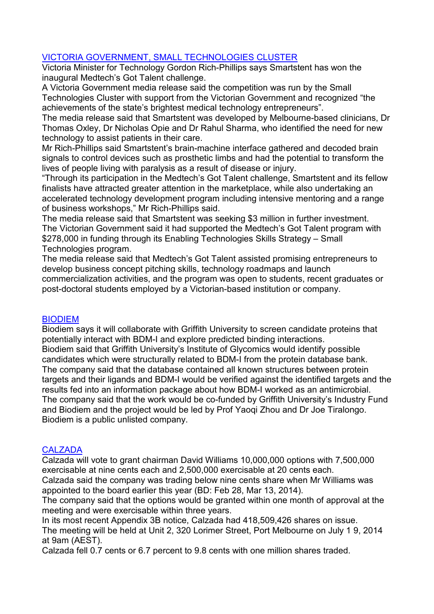## VICTORIA GOVERNMENT, SMALL TECHNOLOGIES CLUSTER

Victoria Minister for Technology Gordon Rich-Phillips says Smartstent has won the inaugural Medtech's Got Talent challenge.

A Victoria Government media release said the competition was run by the Small Technologies Cluster with support from the Victorian Government and recognized "the achievements of the state's brightest medical technology entrepreneurs".

The media release said that Smartstent was developed by Melbourne-based clinicians, Dr Thomas Oxley, Dr Nicholas Opie and Dr Rahul Sharma, who identified the need for new technology to assist patients in their care.

Mr Rich-Phillips said Smartstent's brain-machine interface gathered and decoded brain signals to control devices such as prosthetic limbs and had the potential to transform the lives of people living with paralysis as a result of disease or injury.

"Through its participation in the Medtech's Got Talent challenge, Smartstent and its fellow finalists have attracted greater attention in the marketplace, while also undertaking an accelerated technology development program including intensive mentoring and a range of business workshops," Mr Rich-Phillips said.

The media release said that Smartstent was seeking \$3 million in further investment. The Victorian Government said it had supported the Medtech's Got Talent program with \$278,000 in funding through its Enabling Technologies Skills Strategy – Small Technologies program.

The media release said that Medtech's Got Talent assisted promising entrepreneurs to develop business concept pitching skills, technology roadmaps and launch commercialization activities, and the program was open to students, recent graduates or post-doctoral students employed by a Victorian-based institution or company.

## **BIODIEM**

Biodiem says it will collaborate with Griffith University to screen candidate proteins that potentially interact with BDM-I and explore predicted binding interactions. Biodiem said that Griffith University's Institute of Glycomics would identify possible candidates which were structurally related to BDM-I from the protein database bank. The company said that the database contained all known structures between protein targets and their ligands and BDM-I would be verified against the identified targets and the results fed into an information package about how BDM-I worked as an antimicrobial. The company said that the work would be co-funded by Griffith University's Industry Fund and Biodiem and the project would be led by Prof Yaoqi Zhou and Dr Joe Tiralongo. Biodiem is a public unlisted company.

## **CALZADA**

Calzada will vote to grant chairman David Williams 10,000,000 options with 7,500,000 exercisable at nine cents each and 2,500,000 exercisable at 20 cents each.

Calzada said the company was trading below nine cents share when Mr Williams was appointed to the board earlier this year (BD: Feb 28, Mar 13, 2014).

The company said that the options would be granted within one month of approval at the meeting and were exercisable within three years.

In its most recent Appendix 3B notice, Calzada had 418,509,426 shares on issue.

The meeting will be held at Unit 2, 320 Lorimer Street, Port Melbourne on July 1 9, 2014 at 9am (AEST).

Calzada fell 0.7 cents or 6.7 percent to 9.8 cents with one million shares traded.